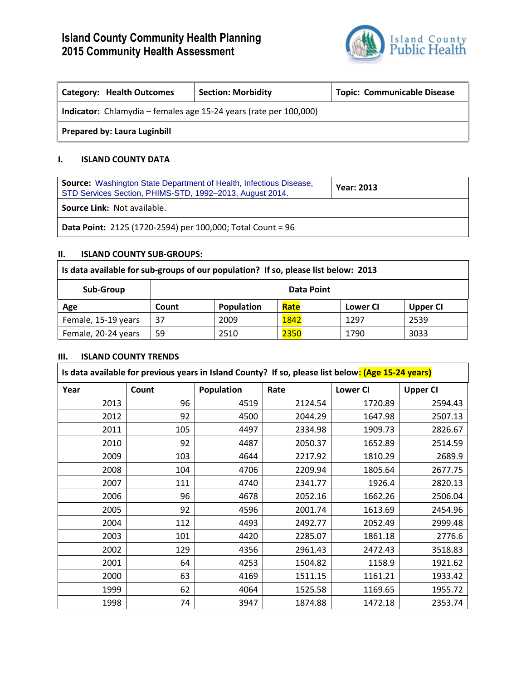

| <b>Category: Health Outcomes</b>                                  | <b>Section: Morbidity</b> | <b>Topic: Communicable Disease</b> |  |
|-------------------------------------------------------------------|---------------------------|------------------------------------|--|
| Indicator: Chlamydia - females age 15-24 years (rate per 100,000) |                           |                                    |  |
| <b>Prepared by: Laura Luginbill</b>                               |                           |                                    |  |

### **I. ISLAND COUNTY DATA**

| <b>Source:</b> Washington State Department of Health, Infectious Disease,<br>STD Services Section, PHIMS-STD, 1992-2013, August 2014. | <b>Year: 2013</b> |  |
|---------------------------------------------------------------------------------------------------------------------------------------|-------------------|--|
| <b>Source Link: Not available.</b>                                                                                                    |                   |  |
| <b>Data Point:</b> 2125 (1720-2594) per 100,000; Total Count = 96                                                                     |                   |  |

### **II. ISLAND COUNTY SUB-GROUPS:**

| Is data available for sub-groups of our population? If so, please list below: 2013 |            |            |      |          |                 |
|------------------------------------------------------------------------------------|------------|------------|------|----------|-----------------|
| Sub-Group                                                                          | Data Point |            |      |          |                 |
| Age                                                                                | Count      | Population | Rate | Lower CI | <b>Upper CI</b> |
| Female, 15-19 years                                                                | 37         | 2009       | 1842 | 1297     | 2539            |
| Female, 20-24 years                                                                | 59         | 2510       | 2350 | 1790     | 3033            |

#### **III. ISLAND COUNTY TRENDS**

| Is data available for previous years in Island County? If so, please list below: (Age 15-24 years) |       |            |         |                 |                 |
|----------------------------------------------------------------------------------------------------|-------|------------|---------|-----------------|-----------------|
| Year                                                                                               | Count | Population | Rate    | <b>Lower CI</b> | <b>Upper CI</b> |
| 2013                                                                                               | 96    | 4519       | 2124.54 | 1720.89         | 2594.43         |
| 2012                                                                                               | 92    | 4500       | 2044.29 | 1647.98         | 2507.13         |
| 2011                                                                                               | 105   | 4497       | 2334.98 | 1909.73         | 2826.67         |
| 2010                                                                                               | 92    | 4487       | 2050.37 | 1652.89         | 2514.59         |
| 2009                                                                                               | 103   | 4644       | 2217.92 | 1810.29         | 2689.9          |
| 2008                                                                                               | 104   | 4706       | 2209.94 | 1805.64         | 2677.75         |
| 2007                                                                                               | 111   | 4740       | 2341.77 | 1926.4          | 2820.13         |
| 2006                                                                                               | 96    | 4678       | 2052.16 | 1662.26         | 2506.04         |
| 2005                                                                                               | 92    | 4596       | 2001.74 | 1613.69         | 2454.96         |
| 2004                                                                                               | 112   | 4493       | 2492.77 | 2052.49         | 2999.48         |
| 2003                                                                                               | 101   | 4420       | 2285.07 | 1861.18         | 2776.6          |
| 2002                                                                                               | 129   | 4356       | 2961.43 | 2472.43         | 3518.83         |
| 2001                                                                                               | 64    | 4253       | 1504.82 | 1158.9          | 1921.62         |
| 2000                                                                                               | 63    | 4169       | 1511.15 | 1161.21         | 1933.42         |
| 1999                                                                                               | 62    | 4064       | 1525.58 | 1169.65         | 1955.72         |
| 1998                                                                                               | 74    | 3947       | 1874.88 | 1472.18         | 2353.74         |